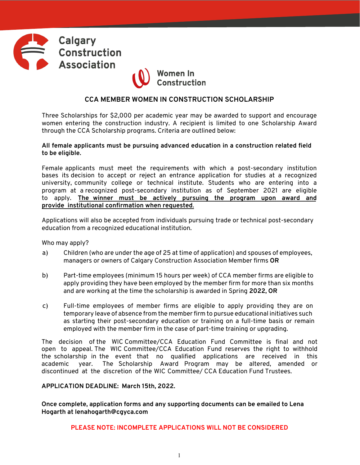



## **CCA MEMBER WOMEN IN CONSTRUCTION SCHOLARSHIP**

Three Scholarships for \$2,000 per academic year may be awarded to support and encourage women entering the construction industry. A recipient is limited to one Scholarship Award through the CCA Scholarship programs. Criteria are outlined below:

### **All female applicants must be pursuing advanced education in a construction related field to be eligible.**

Female applicants must meet the requirements with which a post-secondary institution bases its decision to accept or reject an entrance application for studies at a recognized university, community college or technical institute. Students who are entering into a program at a recognized post-secondary institution as of September 2021 are eligible to apply. **The winner must be actively pursuing the program upon award and provide institutional confirmation when requested**.

Applications will also be accepted from individuals pursuing trade or technical post-secondary education from a recognized educational institution.

Who may apply?

- a) Children (who are under the age of 25 at time of application) and spouses of employees, managers or owners of Calgary Construction Association Member firms **OR**
- b) Part-time employees (minimum 15 hours per week) of CCA member firms are eligible to apply providing they have been employed by the member firm for more than six months and are working at the time the scholarship is awarded in Spring **2022, OR**
- c) Full-time employees of member firms are eligible to apply providing they are on temporary leave of absence from the memberfirm to pursue educational initiatives such as starting their post-secondary education or training on a full-time basis or remain employed with the member firm in the case of part-time training or upgrading.

The decision of the WIC Committee/CCA Education Fund Committee is final and not open to appeal. The WIC Committee/CCA Education Fund reserves the right to withhold the scholarship in the event that no qualified applications are received in this academic year. The Scholarship Award Program may be altered, amended or discontinued at the discretion of the WIC Committee/ CCA Education Fund Trustees.

**APPLICATION DEADLINE: March 15th, 2022.**

**Once complete, application forms and any supporting documents can be emailed to Lena Hogarth at lenahogarth@cgyca.com**

**PLEASE NOTE: INCOMPLETE APPLICATIONS WILL NOT BE CONSIDERED**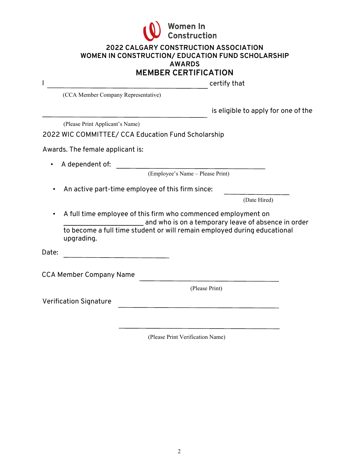

## **2022 CALGARY CONSTRUCTION ASSOCIATION WOMEN IN CONSTRUCTION/ EDUCATION FUND SCHOLARSHIP AWARDS MEMBER CERTIFICATION**

|           |                                                                                                                                                                                                                | MEMDER CERTIFICATION                               |  |
|-----------|----------------------------------------------------------------------------------------------------------------------------------------------------------------------------------------------------------------|----------------------------------------------------|--|
|           |                                                                                                                                                                                                                | certify that                                       |  |
|           | (CCA Member Company Representative)                                                                                                                                                                            |                                                    |  |
|           |                                                                                                                                                                                                                | is eligible to apply for one of the                |  |
|           | (Please Print Applicant's Name)                                                                                                                                                                                |                                                    |  |
|           |                                                                                                                                                                                                                | 2022 WIC COMMITTEE/ CCA Education Fund Scholarship |  |
|           | Awards. The female applicant is:                                                                                                                                                                               |                                                    |  |
|           | A dependent of:                                                                                                                                                                                                |                                                    |  |
|           |                                                                                                                                                                                                                | (Employee's Name – Please Print)                   |  |
|           | An active part-time employee of this firm since:                                                                                                                                                               |                                                    |  |
|           |                                                                                                                                                                                                                | (Date Hired)                                       |  |
| $\bullet$ | A full time employee of this firm who commenced employment on<br>and who is on a temporary leave of absence in order<br>to become a full time student or will remain employed during educational<br>upgrading. |                                                    |  |
| Date:     |                                                                                                                                                                                                                |                                                    |  |
|           | <b>CCA Member Company Name</b>                                                                                                                                                                                 |                                                    |  |
|           |                                                                                                                                                                                                                | (Please Print)                                     |  |
|           | <b>Verification Signature</b>                                                                                                                                                                                  |                                                    |  |
|           |                                                                                                                                                                                                                |                                                    |  |

(Please Print Verification Name)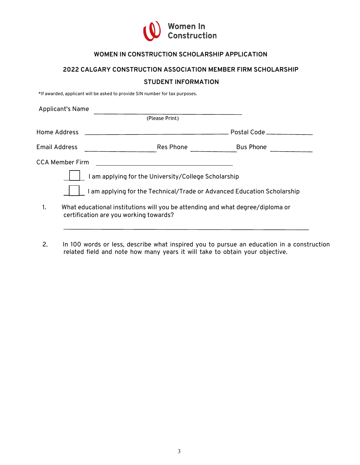

# **WOMEN IN CONSTRUCTION SCHOLARSHIP APPLICATION**

## **2022 CALGARY CONSTRUCTION ASSOCIATION MEMBER FIRM SCHOLARSHIP**

#### **STUDENT INFORMATION**

\*If awarded, applicant will be asked to provide SIN number for tax purposes.

| <b>Applicant's Name</b> |                                                                                                                          |                  |  |
|-------------------------|--------------------------------------------------------------------------------------------------------------------------|------------------|--|
|                         | (Please Print)                                                                                                           |                  |  |
| Home Address            |                                                                                                                          | Postal Code      |  |
| <b>Email Address</b>    | Res Phone                                                                                                                | <b>Bus Phone</b> |  |
| CCA Member Firm         |                                                                                                                          |                  |  |
|                         | I am applying for the University/College Scholarship                                                                     |                  |  |
|                         | I am applying for the Technical/Trade or Advanced Education Scholarship                                                  |                  |  |
|                         | What educational institutions will you be attending and what degree/diploma or<br>certification are you working towards? |                  |  |

2. In 100 words or less, describe what inspired you to pursue an education in a construction related field and note how many years it will take to obtain your objective.